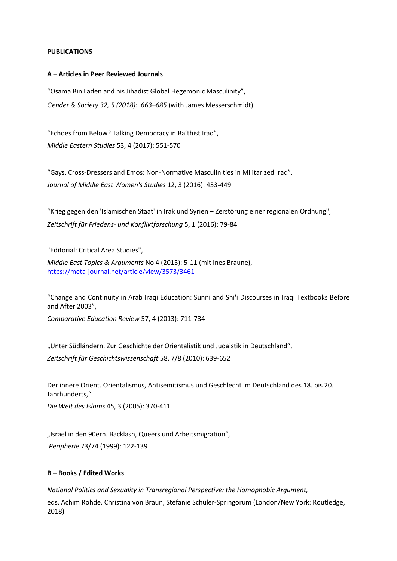#### **PUBLICATIONS**

#### **A – Articles in Peer Reviewed Journals**

"Osama Bin Laden and his Jihadist Global Hegemonic Masculinity", *Gender & Society 32, 5 (2018): 663–685* (with James Messerschmidt)

"Echoes from Below? Talking Democracy in Ba'thist Iraq", *Middle Eastern Studies* 53, 4 (2017): 551-570

"Gays, Cross-Dressers and Emos: Non-Normative Masculinities in Militarized Iraq", *Journal of Middle East Women's Studies* 12, 3 (2016): 433-449

"Krieg gegen den 'Islamischen Staat' in Irak und Syrien – Zerstörung einer regionalen Ordnung", *Zeitschrift für Friedens- und Konfliktforschung* 5, 1 (2016): 79-84

"Editorial: Critical Area Studies",

*Middle East Topics & Arguments* No 4 (2015): 5-11 (mit Ines Braune), <https://meta-journal.net/article/view/3573/3461>

"Change and Continuity in Arab Iraqi Education: Sunni and Shi'i Discourses in Iraqi Textbooks Before and After 2003",

*Comparative Education Review* 57, 4 (2013): 711-734

"Unter Südländern. Zur Geschichte der Orientalistik und Judaistik in Deutschland", *Zeitschrift für Geschichtswissenschaft* 58, 7/8 (2010): 639-652

Der innere Orient. Orientalismus, Antisemitismus und Geschlecht im Deutschland des 18. bis 20. Jahrhunderts,"

*Die Welt des Islams* 45, 3 (2005): 370-411

"Israel in den 90ern. Backlash, Queers und Arbeitsmigration", *Peripherie* 73/74 (1999): 122-139

### **B – Books / Edited Works**

*National Politics and Sexuality in Transregional Perspective: the Homophobic Argument,* eds. Achim Rohde, Christina von Braun, Stefanie Schüler-Springorum (London/New York: Routledge, 2018)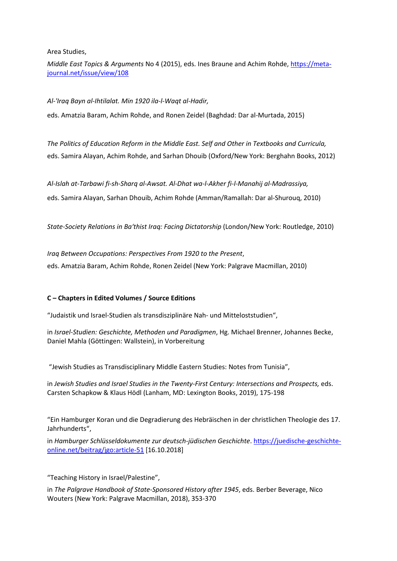Area Studies,

*Middle East Topics & Arguments* No 4 (2015), eds. Ines Braune and Achim Rohde[, https://meta](https://meta-journal.net/issue/view/108)[journal.net/issue/view/108](https://meta-journal.net/issue/view/108)

*Al-'Iraq Bayn al-Ihtilalat. Min 1920 ila-l-Waqt al-Hadir,* 

eds. Amatzia Baram, Achim Rohde, and Ronen Zeidel (Baghdad: Dar al-Murtada, 2015)

*The Politics of Education Reform in the Middle East. Self and Other in Textbooks and Curricula,* eds. Samira Alayan, Achim Rohde, and Sarhan Dhouib (Oxford/New York: Berghahn Books, 2012)

*Al-Islah at-Tarbawi fi-sh-Sharq al-Awsat. Al-Dhat wa-l-Akher fi-l-Manahij al-Madrassiya,* eds. Samira Alayan, Sarhan Dhouib, Achim Rohde (Amman/Ramallah: Dar al-Shurouq, 2010)

*State-Society Relations in Ba'thist Iraq: Facing Dictatorship* (London/New York: Routledge, 2010)

*Iraq Between Occupations: Perspectives From 1920 to the Present*, eds. Amatzia Baram, Achim Rohde, Ronen Zeidel (New York: Palgrave Macmillan, 2010)

# **C – Chapters in Edited Volumes / Source Editions**

"Judaistik und Israel-Studien als transdisziplinäre Nah- und Mitteloststudien",

in *Israel-Studien: Geschichte, Methoden und Paradigmen*, Hg. Michael Brenner, Johannes Becke, Daniel Mahla (Göttingen: Wallstein), in Vorbereitung

"Jewish Studies as Transdisciplinary Middle Eastern Studies: Notes from Tunisia",

in Jewish Studies and Israel Studies in the Twenty-First Century: Intersections and Prospects, eds. Carsten Schapkow & Klaus Hödl (Lanham, MD: Lexington Books, 2019), 175-198

"Ein Hamburger Koran und die Degradierung des Hebräischen in der christlichen Theologie des 17. Jahrhunderts",

in *Hamburger Schlüsseldokumente zur deutsch-jüdischen Geschichte*. [https://juedische-geschichte](https://juedische-geschichte-online.net/beitrag/jgo:article-51)[online.net/beitrag/jgo:article-51](https://juedische-geschichte-online.net/beitrag/jgo:article-51) [16.10.2018]

"Teaching History in Israel/Palestine",

in *The Palgrave Handbook of State-Sponsored History after 1945*, eds. Berber Beverage, Nico Wouters (New York: Palgrave Macmillan, 2018), 353-370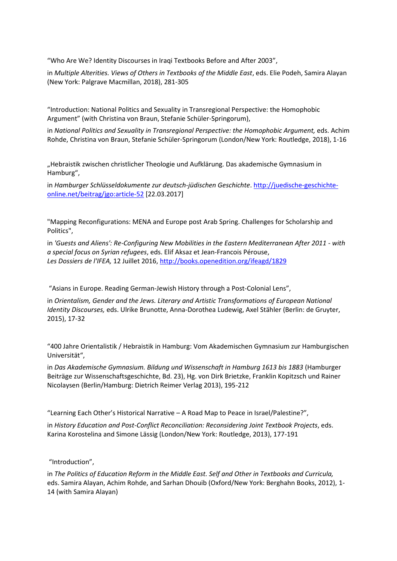"Who Are We? Identity Discourses in Iraqi Textbooks Before and After 2003",

in *Multiple Alterities. Views of Others in Textbooks of the Middle East*, eds. Elie Podeh, Samira Alayan (New York: Palgrave Macmillan, 2018), 281-305

"Introduction: National Politics and Sexuality in Transregional Perspective: the Homophobic Argument" (with Christina von Braun, Stefanie Schüler-Springorum),

in *National Politics and Sexuality in Transregional Perspective: the Homophobic Argument,* eds. Achim Rohde, Christina von Braun, Stefanie Schüler-Springorum (London/New York: Routledge, 2018), 1-16

"Hebraistik zwischen christlicher Theologie und Aufklärung. Das akademische Gymnasium in Hamburg",

in *Hamburger Schlüsseldokumente zur deutsch-jüdischen Geschichte*. [http://juedische-geschichte](http://juedische-geschichte-online.net/beitrag/jgo:article-52)[online.net/beitrag/jgo:article-52](http://juedische-geschichte-online.net/beitrag/jgo:article-52) [22.03.2017]

"Mapping Reconfigurations: MENA and Europe post Arab Spring. Challenges for Scholarship and Politics",

in *'Guests and Aliens': Re-Configuring New Mobilities in the Eastern Mediterranean After 2011 - with a special focus on Syrian refugees*, eds. Elif Aksaz et Jean-Francois Pérouse, *Les Dossiers de l'IFEA,* 12 Juillet 2016[, http://books.openedition.org/ifeagd/1829](http://books.openedition.org/ifeagd/1829)

"Asians in Europe. Reading German‐Jewish History through a Post‐Colonial Lens",

in *Orientalism, Gender and the Jews. Literary and Artistic Transformations of European National Identity Discourses,* eds. Ulrike Brunotte, Anna-Dorothea Ludewig, Axel Stähler (Berlin: de Gruyter, 2015), 17-32

"400 Jahre Orientalistik / Hebraistik in Hamburg: Vom Akademischen Gymnasium zur Hamburgischen Universität",

in *Das Akademische Gymnasium. Bildung und Wissenschaft in Hamburg 1613 bis 1883* (Hamburger Beiträge zur Wissenschaftsgeschichte, Bd. 23), Hg. von Dirk Brietzke, Franklin Kopitzsch und Rainer Nicolaysen (Berlin/Hamburg: Dietrich Reimer Verlag 2013), 195-212

"Learning Each Other's Historical Narrative – A Road Map to Peace in Israel/Palestine?",

in *History Education and Post-Conflict Reconciliation: Reconsidering Joint Textbook Projects*, eds. Karina Korostelina and Simone Lässig (London/New York: Routledge, 2013), 177-191

"Introduction",

in *The Politics of Education Reform in the Middle East. Self and Other in Textbooks and Curricula,* eds. Samira Alayan, Achim Rohde, and Sarhan Dhouib (Oxford/New York: Berghahn Books, 2012), 1- 14 (with Samira Alayan)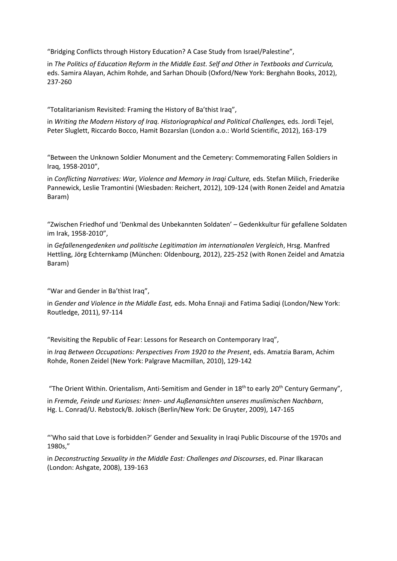"Bridging Conflicts through History Education? A Case Study from Israel/Palestine",

in *The Politics of Education Reform in the Middle East. Self and Other in Textbooks and Curricula,* eds. Samira Alayan, Achim Rohde, and Sarhan Dhouib (Oxford/New York: Berghahn Books, 2012), 237-260

"Totalitarianism Revisited: Framing the History of Ba'thist Iraq",

in *Writing the Modern History of Iraq. Historiographical and Political Challenges,* eds. Jordi Tejel, Peter Sluglett, Riccardo Bocco, Hamit Bozarslan (London a.o.: World Scientific, 2012), 163-179

"Between the Unknown Soldier Monument and the Cemetery: Commemorating Fallen Soldiers in Iraq, 1958-2010",

in *Conflicting Narratives: War, Violence and Memory in Iraqi Culture, eds. Stefan Milich, Friederike* Pannewick, Leslie Tramontini (Wiesbaden: Reichert, 2012), 109-124 (with Ronen Zeidel and Amatzia Baram)

"Zwischen Friedhof und 'Denkmal des Unbekannten Soldaten' – Gedenkkultur für gefallene Soldaten im Irak, 1958-2010",

in *Gefallenengedenken und politische Legitimation im internationalen Vergleich*, Hrsg. Manfred Hettling, Jörg Echternkamp (München: Oldenbourg, 2012), 225-252 (with Ronen Zeidel and Amatzia Baram)

"War and Gender in Ba'thist Iraq",

in *Gender and Violence in the Middle East,* eds. Moha Ennaji and Fatima Sadiqi (London/New York: Routledge, 2011), 97-114

"Revisiting the Republic of Fear: Lessons for Research on Contemporary Iraq",

in *Iraq Between Occupations: Perspectives From 1920 to the Present*, eds. Amatzia Baram, Achim Rohde, Ronen Zeidel (New York: Palgrave Macmillan, 2010), 129-142

"The Orient Within. Orientalism, Anti-Semitism and Gender in 18<sup>th</sup> to early 20<sup>th</sup> Century Germany",

in *Fremde, Feinde und Kurioses: Innen- und Außenansichten unseres muslimischen Nachbarn*, Hg. L. Conrad/U. Rebstock/B. Jokisch (Berlin/New York: De Gruyter, 2009), 147-165

"'Who said that Love is forbidden?' Gender and Sexuality in Iraqi Public Discourse of the 1970s and 1980s,"

in *Deconstructing Sexuality in the Middle East: Challenges and Discourses*, ed. Pinar Ilkaracan (London: Ashgate, 2008), 139-163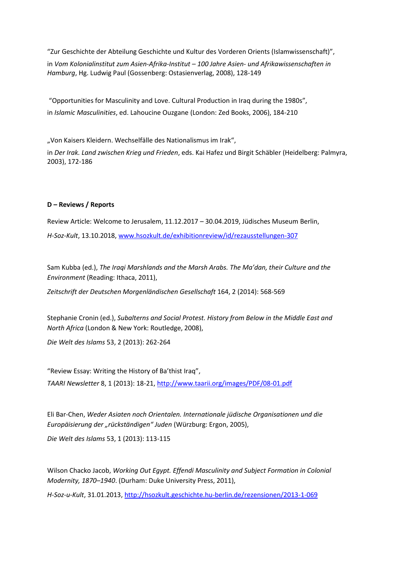"Zur Geschichte der Abteilung Geschichte und Kultur des Vorderen Orients (Islamwissenschaft)", in *Vom Kolonialinstitut zum Asien-Afrika-Institut – 100 Jahre Asien- und Afrikawissenschaften in Hamburg*, Hg. Ludwig Paul (Gossenberg: Ostasienverlag, 2008), 128-149

"Opportunities for Masculinity and Love. Cultural Production in Iraq during the 1980s", in *Islamic Masculinities*, ed. Lahoucine Ouzgane (London: Zed Books, 2006), 184-210

"Von Kaisers Kleidern. Wechselfälle des Nationalismus im Irak", in *Der Irak. Land zwischen Krieg und Frieden*, eds. Kai Hafez und Birgit Schäbler (Heidelberg: Palmyra, 2003), 172-186

### **D – Reviews / Reports**

Review Article: Welcome to Jerusalem, 11.12.2017 – 30.04.2019, Jüdisches Museum Berlin, *H-Soz-Kult*, 13.10.2018[, www.hsozkult.de/exhibitionreview/id/rezausstellungen-307](http://www.hsozkult.de/exhibitionreview/id/rezausstellungen-307)

Sam Kubba (ed.), *The Iraqi Marshlands and the Marsh Arabs. The Ma'dan, their Culture and the Environment* (Reading: Ithaca, 2011),

*Zeitschrift der Deutschen Morgenländischen Gesellschaft* 164, 2 (2014): 568-569

Stephanie Cronin (ed.), *Subalterns and Social Protest. History from Below in the Middle East and North Africa* (London & New York: Routledge, 2008),

*Die Welt des Islams* 53, 2 (2013): 262-264

"Review Essay: Writing the History of Ba'thist Iraq", *TAARI Newsletter* 8, 1 (2013): 18-21[, http://www.taarii.org/images/PDF/08-01.pdf](http://www.taarii.org/images/PDF/08-01.pdf)

Eli Bar-Chen, *Weder Asiaten noch Orientalen. Internationale jüdische Organisationen und die Europäisierung der "rückständigen" Juden* (Würzburg: Ergon, 2005),

*Die Welt des Islams* 53, 1 (2013): 113-115

Wilson Chacko Jacob, *Working Out Egypt. Effendi Masculinity and Subject Formation in Colonial Modernity, 1870–1940*. (Durham: Duke University Press, 2011),

*H-Soz-u-Kult*, 31.01.2013[, http://hsozkult.geschichte.hu-berlin.de/rezensionen/2013-1-069](http://hsozkult.geschichte.hu-berlin.de/rezensionen/2013-1-069)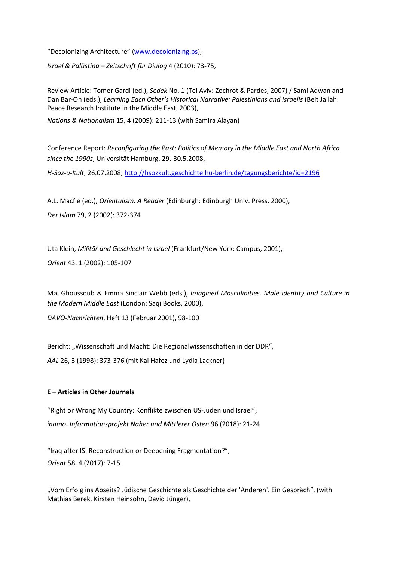"Decolonizing Architecture" ([www.decolonizing.ps\)](http://www.decolonizing.ps/),

*Israel & Palästina – Zeitschrift für Dialog* 4 (2010): 73-75,

Review Article: Tomer Gardi (ed.), *Sedek* No. 1 (Tel Aviv: Zochrot & Pardes, 2007) / Sami Adwan and Dan Bar-On (eds.), *Learning Each Other's Historical Narrative: Palestinians and Israelis* (Beit Jallah: Peace Research Institute in the Middle East, 2003),

*Nations & Nationalism* 15, 4 (2009): 211-13 (with Samira Alayan)

Conference Report: *Reconfiguring the Past: Politics of Memory in the Middle East and North Africa since the 1990s*, Universität Hamburg, 29.-30.5.2008,

*H-Soz-u-Kult*, 26.07.2008[, http://hsozkult.geschichte.hu-berlin.de/tagungsberichte/id=2196](http://hsozkult.geschichte.hu-berlin.de/tagungsberichte/id=2196)

A.L. Macfie (ed.), *Orientalism. A Reader* (Edinburgh: Edinburgh Univ. Press, 2000), *Der Islam* 79, 2 (2002): 372-374

Uta Klein, *Militär und Geschlecht in Israel* (Frankfurt/New York: Campus, 2001),

*Orient* 43, 1 (2002): 105-107

Mai Ghoussoub & Emma Sinclair Webb (eds.), *Imagined Masculinities. Male Identity and Culture in the Modern Middle East* (London: Saqi Books, 2000),

*DAVO-Nachrichten*, Heft 13 (Februar 2001), 98-100

Bericht: "Wissenschaft und Macht: Die Regionalwissenschaften in der DDR", *AAL* 26, 3 (1998): 373-376 (mit Kai Hafez und Lydia Lackner)

### **E – Articles in Other Journals**

"Right or Wrong My Country: Konflikte zwischen US-Juden und Israel", *inamo. Informationsprojekt Naher und Mittlerer Osten* 96 (2018): 21-24

"Iraq after IS: Reconstruction or Deepening Fragmentation?", *Orient* 58, 4 (2017): 7-15

"Vom Erfolg ins Abseits? Jüdische Geschichte als Geschichte der 'Anderen'. Ein Gespräch", (with Mathias Berek, Kirsten Heinsohn, David Jünger),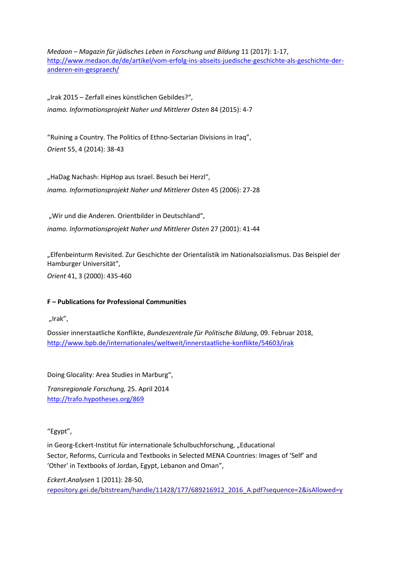*Medaon – Magazin für jüdisches Leben in Forschung und Bildung* 11 (2017): 1-17, [http://www.medaon.de/de/artikel/vom-erfolg-ins-abseits-juedische-geschichte-als-geschichte-der](http://www.medaon.de/de/artikel/vom-erfolg-ins-abseits-juedische-geschichte-als-geschichte-der-anderen-ein-gespraech/)[anderen-ein-gespraech/](http://www.medaon.de/de/artikel/vom-erfolg-ins-abseits-juedische-geschichte-als-geschichte-der-anderen-ein-gespraech/)

"Irak 2015 – Zerfall eines künstlichen Gebildes?", *inamo. Informationsprojekt Naher und Mittlerer Osten* 84 (2015): 4-7

"Ruining a Country. The Politics of Ethno-Sectarian Divisions in Iraq", *Orient* 55, 4 (2014): 38-43

"HaDag Nachash: HipHop aus Israel. Besuch bei Herzl", *inamo. Informationsprojekt Naher und Mittlerer Osten* 45 (2006): 27-28

"Wir und die Anderen. Orientbilder in Deutschland", *inamo. Informationsprojekt Naher und Mittlerer Osten* 27 (2001): 41-44

"Elfenbeinturm Revisited. Zur Geschichte der Orientalistik im Nationalsozialismus. Das Beispiel der Hamburger Universität",

*Orient* 41, 3 (2000): 435-460

# **F – Publications for Professional Communities**

"Irak",

Dossier innerstaatliche Konflikte, *Bundeszentrale für Politische Bildung*, 09. Februar 2018, <http://www.bpb.de/internationales/weltweit/innerstaatliche-konflikte/54603/irak>

Doing Glocality: Area Studies in Marburg",

*Transregionale Forschung,* 25. April 2014 <http://trafo.hypotheses.org/869>

"Egypt",

in Georg-Eckert-Institut für internationale Schulbuchforschung, "Educational Sector, Reforms, Curricula and Textbooks in Selected MENA Countries: Images of 'Self' and 'Other' in Textbooks of Jordan, Egypt, Lebanon and Oman",

*Eckert.Analysen* 1 (2011): 28-50, repository.gei.de/bitstream/handle/11428/177/689216912\_2016\_A.pdf?sequence=2&isAllowed=y